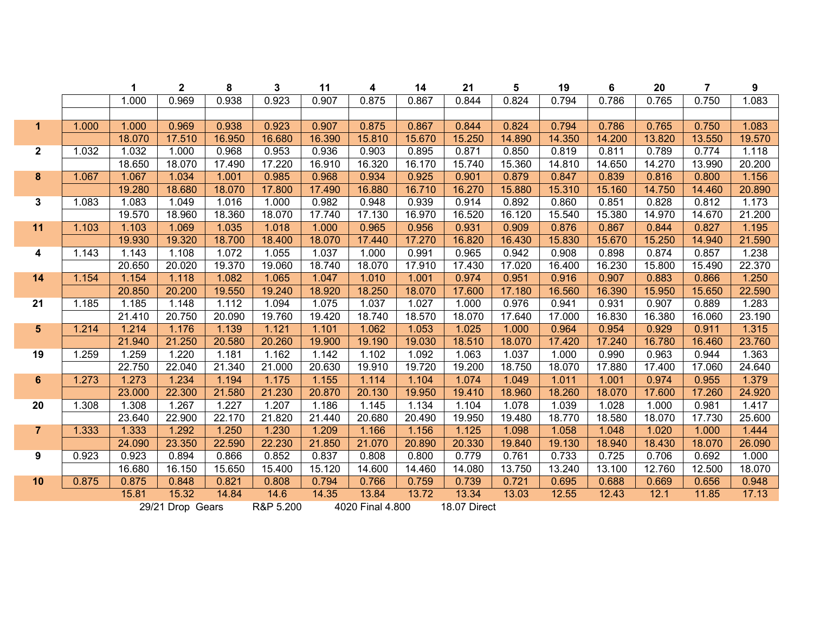|                         |       | $\mathbf 1$ | $\mathbf 2$      | 8      | 3         | 11     | 4                | 14     | 21           | 5      | 19     | $\bf 6$ | 20     | $\overline{7}$ | $\boldsymbol{9}$ |
|-------------------------|-------|-------------|------------------|--------|-----------|--------|------------------|--------|--------------|--------|--------|---------|--------|----------------|------------------|
|                         |       | 1.000       | 0.969            | 0.938  | 0.923     | 0.907  | 0.875            | 0.867  | 0.844        | 0.824  | 0.794  | 0.786   | 0.765  | 0.750          | 1.083            |
|                         |       |             |                  |        |           |        |                  |        |              |        |        |         |        |                |                  |
| $\mathbf{1}$            | 1.000 | 1.000       | 0.969            | 0.938  | 0.923     | 0.907  | 0.875            | 0.867  | 0.844        | 0.824  | 0.794  | 0.786   | 0.765  | 0.750          | 1.083            |
|                         |       | 18.070      | 17.510           | 16.950 | 16.680    | 16.390 | 15.810           | 15.670 | 15.250       | 14.890 | 14.350 | 14.200  | 13.820 | 13.550         | 19.570           |
| $\mathbf{2}$            | 1.032 | 1.032       | 1.000            | 0.968  | 0.953     | 0.936  | 0.903            | 0.895  | 0.871        | 0.850  | 0.819  | 0.811   | 0.789  | 0.774          | 1.118            |
|                         |       | 18.650      | 18.070           | 17.490 | 17.220    | 16.910 | 16.320           | 16.170 | 15.740       | 15.360 | 14.810 | 14.650  | 14.270 | 13.990         | 20.200           |
| $\bf{8}$                | 1.067 | 1.067       | 1.034            | 1.001  | 0.985     | 0.968  | 0.934            | 0.925  | 0.901        | 0.879  | 0.847  | 0.839   | 0.816  | 0.800          | 1.156            |
|                         |       | 19.280      | 18.680           | 18.070 | 17.800    | 17.490 | 16.880           | 16.710 | 16.270       | 15.880 | 15.310 | 15.160  | 14.750 | 14.460         | 20.890           |
| $\mathbf{3}$            | 1.083 | 1.083       | 1.049            | 1.016  | 1.000     | 0.982  | 0.948            | 0.939  | 0.914        | 0.892  | 0.860  | 0.851   | 0.828  | 0.812          | 1.173            |
|                         |       | 19.570      | 18.960           | 18.360 | 18.070    | 17.740 | 17.130           | 16.970 | 16.520       | 16.120 | 15.540 | 15.380  | 14.970 | 14.670         | 21.200           |
| 11                      | 1.103 | 1.103       | 1.069            | 1.035  | 1.018     | 1.000  | 0.965            | 0.956  | 0.931        | 0.909  | 0.876  | 0.867   | 0.844  | 0.827          | 1.195            |
|                         |       | 19.930      | 19.320           | 18.700 | 18.400    | 18.070 | 17.440           | 17.270 | 16.820       | 16.430 | 15.830 | 15.670  | 15.250 | 14.940         | 21.590           |
| $\overline{\mathbf{4}}$ | 1.143 | 1.143       | 1.108            | 1.072  | 1.055     | 1.037  | 1.000            | 0.991  | 0.965        | 0.942  | 0.908  | 0.898   | 0.874  | 0.857          | 1.238            |
|                         |       | 20.650      | 20.020           | 19.370 | 19.060    | 18.740 | 18.070           | 17.910 | 17.430       | 17.020 | 16.400 | 16.230  | 15.800 | 15.490         | 22.370           |
| 14                      | 1.154 | 1.154       | 1.118            | 1.082  | 1.065     | 1.047  | 1.010            | 1.001  | 0.974        | 0.951  | 0.916  | 0.907   | 0.883  | 0.866          | 1.250            |
|                         |       | 20.850      | 20.200           | 19.550 | 19.240    | 18.920 | 18.250           | 18.070 | 17.600       | 17.180 | 16.560 | 16.390  | 15.950 | 15.650         | 22.590           |
| 21                      | 1.185 | 1.185       | 1.148            | 1.112  | 1.094     | 1.075  | 1.037            | 1.027  | 1.000        | 0.976  | 0.941  | 0.931   | 0.907  | 0.889          | 1.283            |
|                         |       | 21.410      | 20.750           | 20.090 | 19.760    | 19.420 | 18.740           | 18.570 | 18.070       | 17.640 | 17.000 | 16.830  | 16.380 | 16.060         | 23.190           |
| 5 <sup>5</sup>          | 1.214 | 1.214       | 1.176            | 1.139  | 1.121     | 1.101  | 1.062            | 1.053  | 1.025        | 1.000  | 0.964  | 0.954   | 0.929  | 0.911          | 1.315            |
|                         |       | 21.940      | 21.250           | 20.580 | 20.260    | 19.900 | 19.190           | 19.030 | 18.510       | 18.070 | 17.420 | 17.240  | 16.780 | 16.460         | 23.760           |
| 19                      | 1.259 | 1.259       | 1.220            | 1.181  | 1.162     | 1.142  | 1.102            | 1.092  | 1.063        | 1.037  | 1.000  | 0.990   | 0.963  | 0.944          | 1.363            |
|                         |       | 22.750      | 22.040           | 21.340 | 21.000    | 20.630 | 19.910           | 19.720 | 19.200       | 18.750 | 18.070 | 17.880  | 17.400 | 17.060         | 24.640           |
| $6\phantom{1}$          | 1.273 | 1.273       | 1.234            | 1.194  | 1.175     | 1.155  | 1.114            | 1.104  | 1.074        | 1.049  | 1.011  | 1.001   | 0.974  | 0.955          | 1.379            |
|                         |       | 23.000      | 22.300           | 21.580 | 21.230    | 20.870 | 20.130           | 19.950 | 19.410       | 18.960 | 18.260 | 18.070  | 17.600 | 17.260         | 24.920           |
| 20                      | 1.308 | 1.308       | 1.267            | 1.227  | 1.207     | 1.186  | 1.145            | 1.134  | 1.104        | 1.078  | 1.039  | 1.028   | 1.000  | 0.981          | 1.417            |
|                         |       | 23.640      | 22.900           | 22.170 | 21.820    | 21.440 | 20.680           | 20.490 | 19.950       | 19.480 | 18.770 | 18.580  | 18.070 | 17.730         | 25.600           |
| $\overline{7}$          | 1.333 | 1.333       | 1.292            | 1.250  | 1.230     | 1.209  | 1.166            | 1.156  | 1.125        | 1.098  | 1.058  | 1.048   | 1.020  | 1.000          | 1.444            |
|                         |       | 24.090      | 23.350           | 22.590 | 22.230    | 21.850 | 21.070           | 20.890 | 20.330       | 19.840 | 19.130 | 18.940  | 18.430 | 18.070         | 26.090           |
| 9                       | 0.923 | 0.923       | 0.894            | 0.866  | 0.852     | 0.837  | 0.808            | 0.800  | 0.779        | 0.761  | 0.733  | 0.725   | 0.706  | 0.692          | 1.000            |
|                         |       | 16.680      | 16.150           | 15.650 | 15.400    | 15.120 | 14.600           | 14.460 | 14.080       | 13.750 | 13.240 | 13.100  | 12.760 | 12.500         | 18.070           |
| 10                      | 0.875 | 0.875       | 0.848            | 0.821  | 0.808     | 0.794  | 0.766            | 0.759  | 0.739        | 0.721  | 0.695  | 0.688   | 0.669  | 0.656          | 0.948            |
|                         |       | 15.81       | 15.32            | 14.84  | 14.6      | 14.35  | 13.84            | 13.72  | 13.34        | 13.03  | 12.55  | 12.43   | 12.1   | 11.85          | 17.13            |
|                         |       |             | 29/21 Drop Gears |        | R&P 5.200 |        | 4020 Final 4.800 |        | 18.07 Direct |        |        |         |        |                |                  |